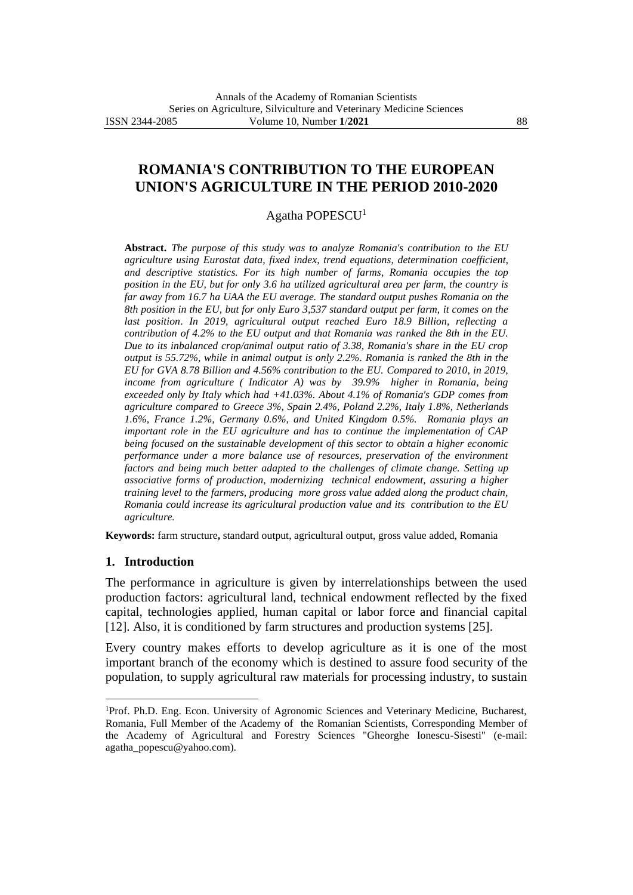# **ROMANIA'S CONTRIBUTION TO THE EUROPEAN UNION'S AGRICULTURE IN THE PERIOD 2010-2020**

## Agatha POPESCU<sup>1</sup>

**Abstract.** *The purpose of this study was to analyze Romania's contribution to the EU agriculture using Eurostat data, fixed index, trend equations, determination coefficient, and descriptive statistics. For its high number of farms, Romania occupies the top position in the EU, but for only 3.6 ha utilized agricultural area per farm, the country is far away from 16.7 ha UAA the EU average. The standard output pushes Romania on the 8th position in the EU, but for only Euro 3,537 standard output per farm, it comes on the last position*. *In 2019, agricultural output reached Euro 18.9 Billion, reflecting a contribution of 4.2% to the EU output and that Romania was ranked the 8th in the EU. Due to its inbalanced crop/animal output ratio of 3.38, Romania's share in the EU crop output is 55.72%, while in animal output is only 2.2%. Romania is ranked the 8th in the EU for GVA 8.78 Billion and 4.56% contribution to the EU. Compared to 2010, in 2019, income from agriculture ( Indicator A) was by 39.9% higher in Romania, being exceeded only by Italy which had +41.03%. About 4.1% of Romania's GDP comes from agriculture compared to Greece 3%, Spain 2.4%, Poland 2.2%, Italy 1.8%, Netherlands 1.6%, France 1.2%, Germany 0.6%, and United Kingdom 0.5%. Romania plays an important role in the EU agriculture and has to continue the implementation of CAP being focused on the sustainable development of this sector to obtain a higher economic performance under a more balance use of resources, preservation of the environment factors and being much better adapted to the challenges of climate change. Setting up associative forms of production, modernizing technical endowment, assuring a higher training level to the farmers, producing more gross value added along the product chain, Romania could increase its agricultural production value and its contribution to the EU agriculture.*

**Keywords:** farm structure**,** standard output, agricultural output, gross value added, Romania

#### **1. Introduction**

The performance in agriculture is given by interrelationships between the used production factors: agricultural land, technical endowment reflected by the fixed capital, technologies applied, human capital or labor force and financial capital [12]. Also, it is conditioned by farm structures and production systems [25].

Every country makes efforts to develop agriculture as it is one of the most important branch of the economy which is destined to assure food security of the population, to supply agricultural raw materials for processing industry, to sustain

<sup>1</sup>Prof. Ph.D. Eng. Econ. University of Agronomic Sciences and Veterinary Medicine, Bucharest, Romania, Full Member of the Academy of the Romanian Scientists, Corresponding Member of the Academy of Agricultural and Forestry Sciences "Gheorghe Ionescu-Sisesti" (e-mail: agatha\_popescu@yahoo.com).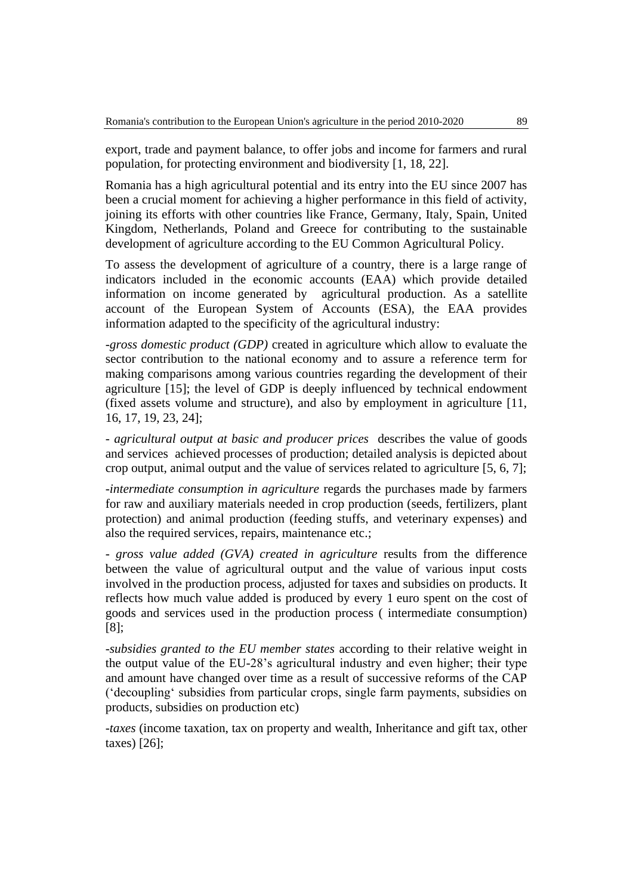export, trade and payment balance, to offer jobs and income for farmers and rural population, for protecting environment and biodiversity [1, 18, 22].

Romania has a high agricultural potential and its entry into the EU since 2007 has been a crucial moment for achieving a higher performance in this field of activity, joining its efforts with other countries like France, Germany, Italy, Spain, United Kingdom, Netherlands, Poland and Greece for contributing to the sustainable development of agriculture according to the EU Common Agricultural Policy.

To assess the development of agriculture of a country, there is a large range of indicators included in the economic accounts (EAA) which provide detailed information on income generated by agricultural production. As a satellite account of the European System of Accounts (ESA), the EAA provides information adapted to the specificity of the agricultural industry:

*-gross domestic product (GDP)* created in agriculture which allow to evaluate the sector contribution to the national economy and to assure a reference term for making comparisons among various countries regarding the development of their agriculture [15]; the level of GDP is deeply influenced by technical endowment (fixed assets volume and structure), and also by employment in agriculture [11, 16, 17, 19, 23, 24];

- *agricultural output at basic and producer prices* describes the value of goods and services achieved processes of production; detailed analysis is depicted about crop output, animal output and the value of services related to agriculture [5, 6, 7];

-*intermediate consumption in agriculture* regards the purchases made by farmers for raw and auxiliary materials needed in crop production (seeds, fertilizers, plant protection) and animal production (feeding stuffs, and veterinary expenses) and also the required services, repairs, maintenance etc.;

- *gross value added (GVA) created in agriculture* results from the difference between the value of agricultural output and the value of various input costs involved in the production process, adjusted for taxes and subsidies on products. It reflects how much value added is produced by every 1 euro spent on the cost of goods and services used in the production process ( intermediate consumption) [8];

-*subsidies granted to the EU member states* according to their relative weight in the output value of the EU-28's agricultural industry and even higher; their type and amount have changed over time as a result of successive reforms of the CAP ('decoupling' subsidies from particular crops, single farm payments, subsidies on products, subsidies on production etc)

-*taxes* (income taxation, tax on property and wealth, Inheritance and gift tax, other taxes) [26];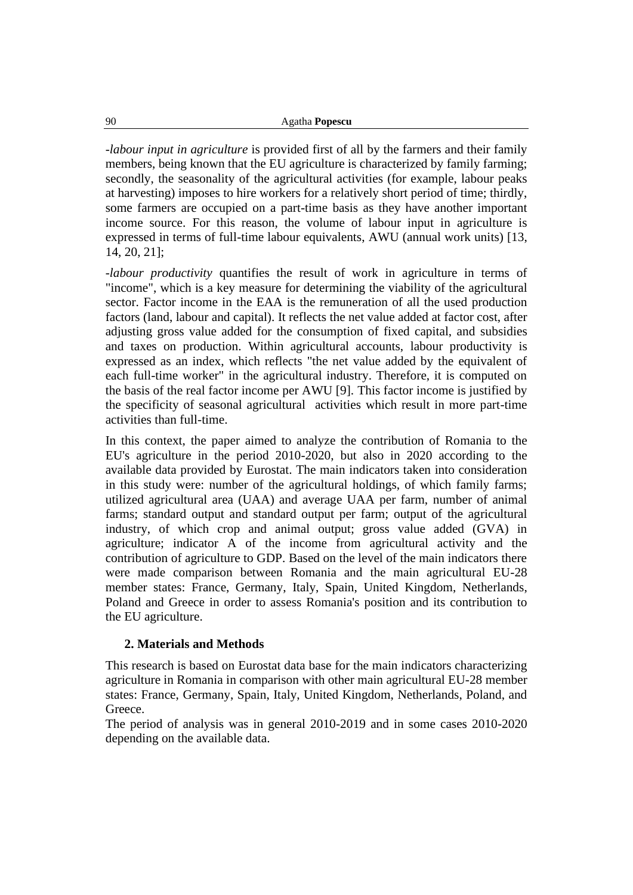-*labour input in agriculture* is provided first of all by the farmers and their family members, being known that the EU agriculture is characterized by family farming; secondly, the seasonality of the agricultural activities (for example, labour peaks at harvesting) imposes to hire workers for a relatively short period of time; thirdly, some farmers are occupied on a part-time basis as they have another important income source. For this reason, the volume of labour input in agriculture is expressed in terms of full-time labour equivalents, AWU (annual work units) [13, 14, 20, 21];

-*labour productivity* quantifies the result of work in agriculture in terms of "income", which is a key measure for determining the viability of the agricultural sector. Factor income in the EAA is the remuneration of all the used production factors (land, labour and capital). It reflects the net value added at factor cost, after adjusting gross value added for the consumption of fixed capital, and subsidies and taxes on production. Within agricultural accounts, labour productivity is expressed as an index, which reflects "the net value added by the equivalent of each full-time worker" in the agricultural industry. Therefore, it is computed on the basis of the real factor income per AWU [9]. This factor income is justified by the specificity of seasonal agricultural activities which result in more part-time activities than full-time.

In this context, the paper aimed to analyze the contribution of Romania to the EU's agriculture in the period 2010-2020, but also in 2020 according to the available data provided by Eurostat. The main indicators taken into consideration in this study were: number of the agricultural holdings, of which family farms; utilized agricultural area (UAA) and average UAA per farm, number of animal farms; standard output and standard output per farm; output of the agricultural industry, of which crop and animal output; gross value added (GVA) in agriculture; indicator A of the income from agricultural activity and the contribution of agriculture to GDP. Based on the level of the main indicators there were made comparison between Romania and the main agricultural EU-28 member states: France, Germany, Italy, Spain, United Kingdom, Netherlands, Poland and Greece in order to assess Romania's position and its contribution to the EU agriculture.

# **2. Materials and Methods**

This research is based on Eurostat data base for the main indicators characterizing agriculture in Romania in comparison with other main agricultural EU-28 member states: France, Germany, Spain, Italy, United Kingdom, Netherlands, Poland, and Greece.

The period of analysis was in general 2010-2019 and in some cases 2010-2020 depending on the available data.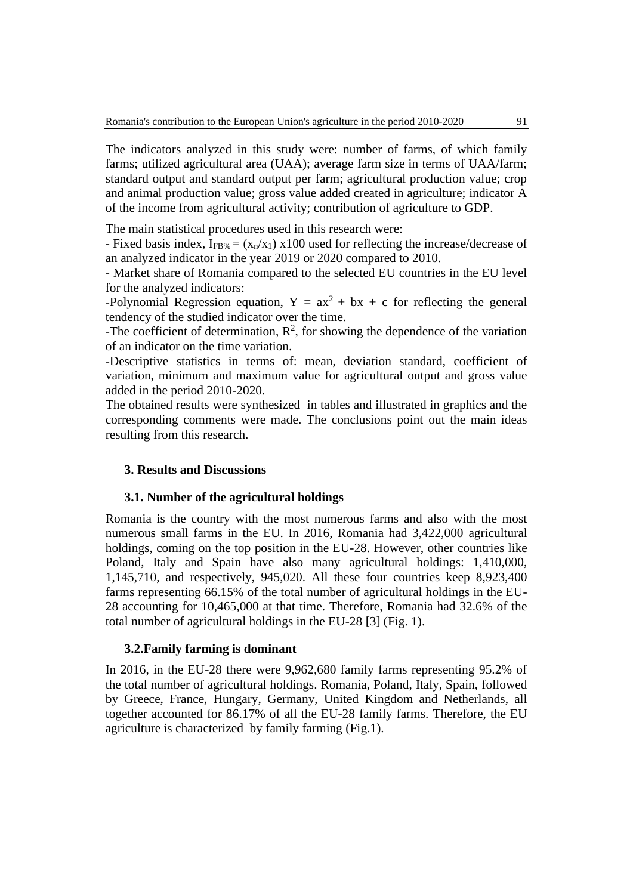The indicators analyzed in this study were: number of farms, of which family farms; utilized agricultural area (UAA); average farm size in terms of UAA/farm; standard output and standard output per farm; agricultural production value; crop and animal production value; gross value added created in agriculture; indicator A of the income from agricultural activity; contribution of agriculture to GDP.

The main statistical procedures used in this research were:

- Fixed basis index,  $I_{FB\%} = (x_n/x_1)$  x100 used for reflecting the increase/decrease of an analyzed indicator in the year 2019 or 2020 compared to 2010.

- Market share of Romania compared to the selected EU countries in the EU level for the analyzed indicators:

-Polynomial Regression equation,  $Y = ax^2 + bx + c$  for reflecting the general tendency of the studied indicator over the time.

-The coefficient of determination,  $\mathbb{R}^2$ , for showing the dependence of the variation of an indicator on the time variation.

-Descriptive statistics in terms of: mean, deviation standard, coefficient of variation, minimum and maximum value for agricultural output and gross value added in the period 2010-2020.

The obtained results were synthesized in tables and illustrated in graphics and the corresponding comments were made. The conclusions point out the main ideas resulting from this research.

#### **3. Results and Discussions**

#### **3.1. Number of the agricultural holdings**

Romania is the country with the most numerous farms and also with the most numerous small farms in the EU. In 2016, Romania had 3,422,000 agricultural holdings, coming on the top position in the EU-28. However, other countries like Poland, Italy and Spain have also many agricultural holdings: 1,410,000, 1,145,710, and respectively, 945,020. All these four countries keep 8,923,400 farms representing 66.15% of the total number of agricultural holdings in the EU-28 accounting for 10,465,000 at that time. Therefore, Romania had 32.6% of the total number of agricultural holdings in the EU-28 [3] (Fig. 1).

#### **3.2.Family farming is dominant**

In 2016, in the EU-28 there were 9,962,680 family farms representing 95.2% of the total number of agricultural holdings. Romania, Poland, Italy, Spain, followed by Greece, France, Hungary, Germany, United Kingdom and Netherlands, all together accounted for 86.17% of all the EU-28 family farms. Therefore, the EU agriculture is characterized by family farming (Fig.1).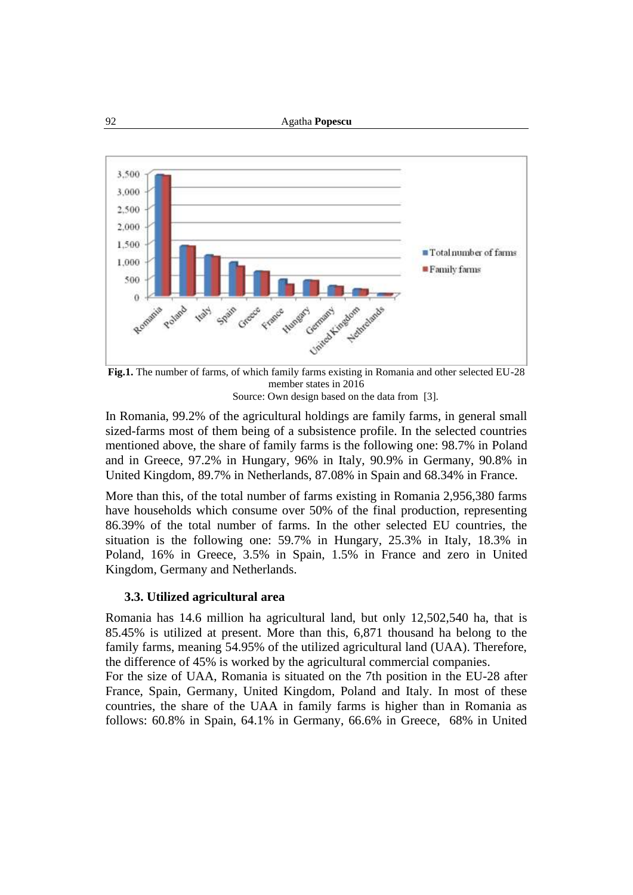

**Fig.1.** The number of farms, of which family farms existing in Romania and other selected EU-28 member states in 2016 Source: Own design based on the data from [3].

In Romania, 99.2% of the agricultural holdings are family farms, in general small sized-farms most of them being of a subsistence profile. In the selected countries mentioned above, the share of family farms is the following one: 98.7% in Poland and in Greece, 97.2% in Hungary, 96% in Italy, 90.9% in Germany, 90.8% in United Kingdom, 89.7% in Netherlands, 87.08% in Spain and 68.34% in France.

More than this, of the total number of farms existing in Romania 2,956,380 farms have households which consume over 50% of the final production, representing 86.39% of the total number of farms. In the other selected EU countries, the situation is the following one: 59.7% in Hungary, 25.3% in Italy, 18.3% in Poland, 16% in Greece, 3.5% in Spain, 1.5% in France and zero in United Kingdom, Germany and Netherlands.

## **3.3. Utilized agricultural area**

Romania has 14.6 million ha agricultural land, but only 12,502,540 ha, that is 85.45% is utilized at present. More than this, 6,871 thousand ha belong to the family farms, meaning 54.95% of the utilized agricultural land (UAA). Therefore, the difference of 45% is worked by the agricultural commercial companies.

For the size of UAA, Romania is situated on the 7th position in the EU-28 after France, Spain, Germany, United Kingdom, Poland and Italy. In most of these countries, the share of the UAA in family farms is higher than in Romania as follows: 60.8% in Spain, 64.1% in Germany, 66.6% in Greece, 68% in United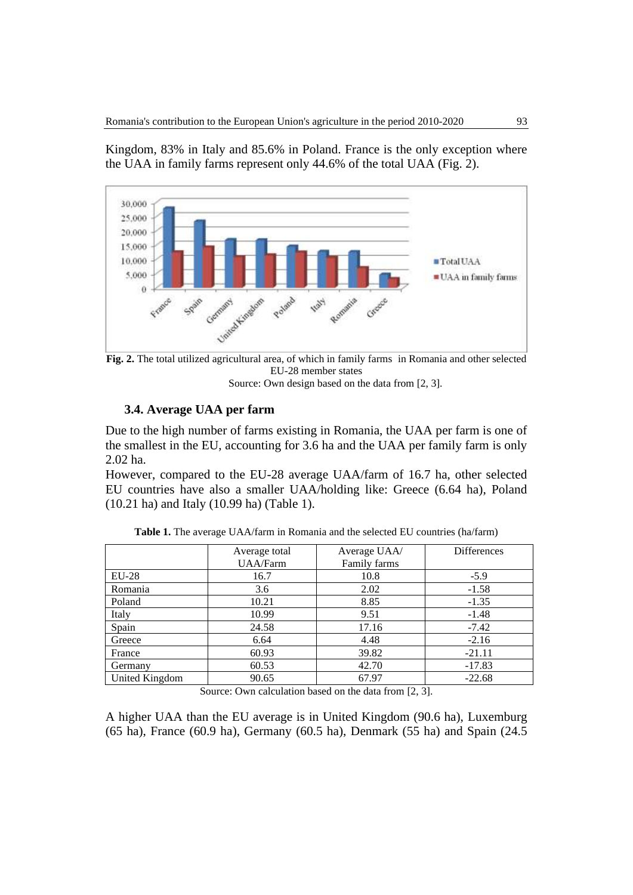Kingdom, 83% in Italy and 85.6% in Poland. France is the only exception where the UAA in family farms represent only 44.6% of the total UAA (Fig. 2).



**Fig. 2.** The total utilized agricultural area, of which in family farms in Romania and other selected EU-28 member states

Source: Own design based on the data from [2, 3].

## **3.4. Average UAA per farm**

Due to the high number of farms existing in Romania, the UAA per farm is one of the smallest in the EU, accounting for 3.6 ha and the UAA per family farm is only 2.02 ha.

However, compared to the EU-28 average UAA/farm of 16.7 ha, other selected EU countries have also a smaller UAA/holding like: Greece (6.64 ha), Poland (10.21 ha) and Italy (10.99 ha) (Table 1).

|                | Average total | Average UAA/        | <b>Differences</b> |
|----------------|---------------|---------------------|--------------------|
|                | UAA/Farm      | <b>Family farms</b> |                    |
| $EU-28$        | 16.7          | 10.8                | $-5.9$             |
| Romania        | 3.6           | 2.02                | $-1.58$            |
| Poland         | 10.21         | 8.85                | $-1.35$            |
| Italy          | 10.99         | 9.51                | $-1.48$            |
| Spain          | 24.58         | 17.16               | $-7.42$            |
| Greece         | 6.64          | 4.48                | $-2.16$            |
| France         | 60.93         | 39.82               | $-21.11$           |
| Germany        | 60.53         | 42.70               | $-17.83$           |
| United Kingdom | 90.65         | 67.97               | $-22.68$           |

**Table 1.** The average UAA/farm in Romania and the selected EU countries (ha/farm)

Source: Own calculation based on the data from [2, 3].

A higher UAA than the EU average is in United Kingdom (90.6 ha), Luxemburg (65 ha), France (60.9 ha), Germany (60.5 ha), Denmark (55 ha) and Spain (24.5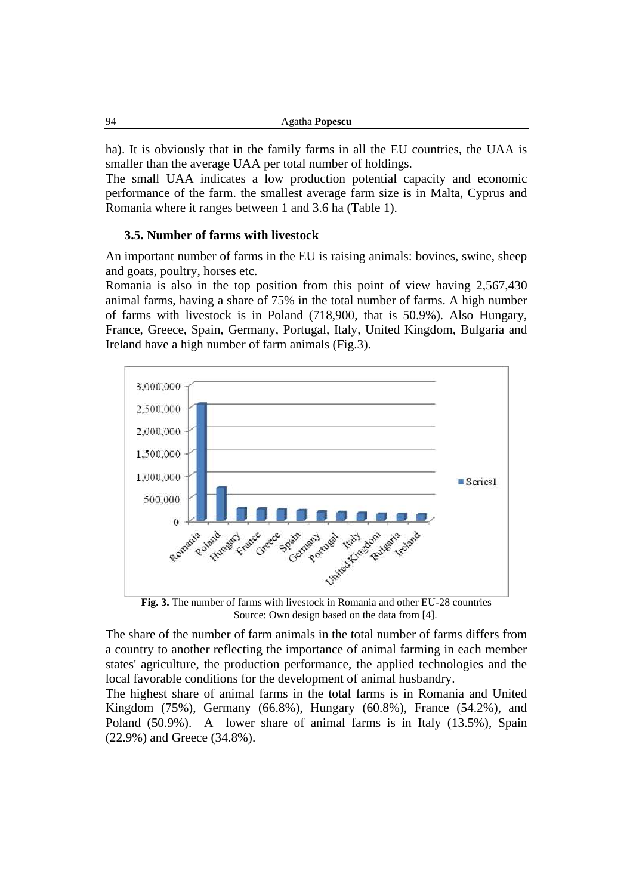ha). It is obviously that in the family farms in all the EU countries, the UAA is smaller than the average UAA per total number of holdings.

The small UAA indicates a low production potential capacity and economic performance of the farm. the smallest average farm size is in Malta, Cyprus and Romania where it ranges between 1 and 3.6 ha (Table 1).

#### **3.5. Number of farms with livestock**

An important number of farms in the EU is raising animals: bovines, swine, sheep and goats, poultry, horses etc.

Romania is also in the top position from this point of view having 2,567,430 animal farms, having a share of 75% in the total number of farms. A high number of farms with livestock is in Poland (718,900, that is 50.9%). Also Hungary, France, Greece, Spain, Germany, Portugal, Italy, United Kingdom, Bulgaria and Ireland have a high number of farm animals (Fig.3).



**Fig. 3.** The number of farms with livestock in Romania and other EU-28 countries Source: Own design based on the data from [4].

The share of the number of farm animals in the total number of farms differs from a country to another reflecting the importance of animal farming in each member states' agriculture, the production performance, the applied technologies and the local favorable conditions for the development of animal husbandry.

The highest share of animal farms in the total farms is in Romania and United Kingdom (75%), Germany (66.8%), Hungary (60.8%), France (54.2%), and Poland (50.9%). A lower share of animal farms is in Italy (13.5%), Spain (22.9%) and Greece (34.8%).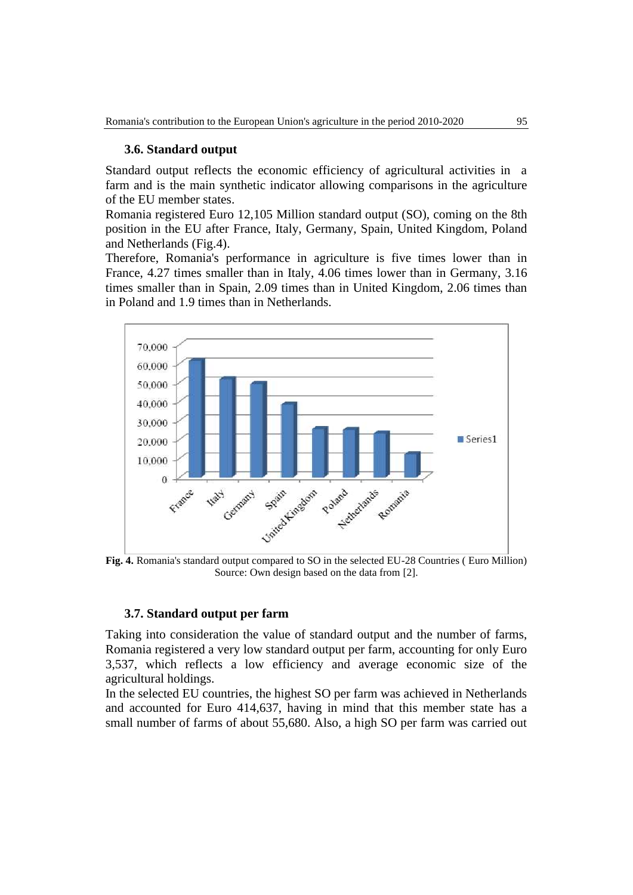### **3.6. Standard output**

Standard output reflects the economic efficiency of agricultural activities in a farm and is the main synthetic indicator allowing comparisons in the agriculture of the EU member states.

Romania registered Euro 12,105 Million standard output (SO), coming on the 8th position in the EU after France, Italy, Germany, Spain, United Kingdom, Poland and Netherlands (Fig.4).

Therefore, Romania's performance in agriculture is five times lower than in France, 4.27 times smaller than in Italy, 4.06 times lower than in Germany, 3.16 times smaller than in Spain, 2.09 times than in United Kingdom, 2.06 times than in Poland and 1.9 times than in Netherlands.



**Fig. 4.** Romania's standard output compared to SO in the selected EU-28 Countries ( Euro Million) Source: Own design based on the data from [2].

## **3.7. Standard output per farm**

Taking into consideration the value of standard output and the number of farms, Romania registered a very low standard output per farm, accounting for only Euro 3,537, which reflects a low efficiency and average economic size of the agricultural holdings.

In the selected EU countries, the highest SO per farm was achieved in Netherlands and accounted for Euro 414,637, having in mind that this member state has a small number of farms of about 55,680. Also, a high SO per farm was carried out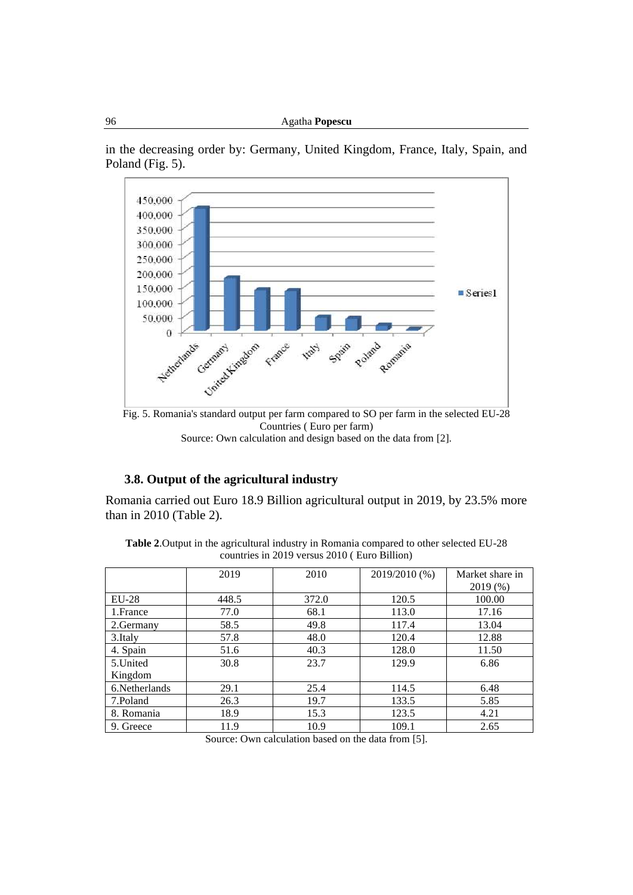in the decreasing order by: Germany, United Kingdom, France, Italy, Spain, and Poland (Fig. 5).



Fig. 5. Romania's standard output per farm compared to SO per farm in the selected EU-28 Countries ( Euro per farm) Source: Own calculation and design based on the data from [2].

# **3.8. Output of the agricultural industry**

Romania carried out Euro 18.9 Billion agricultural output in 2019, by 23.5% more than in 2010 (Table 2).

|                | 2019  | 2010  | 2019/2010 (%) | Market share in |
|----------------|-------|-------|---------------|-----------------|
|                |       |       |               | 2019(%)         |
| $EU-28$        | 448.5 | 372.0 | 120.5         | 100.00          |
| 1. France      | 77.0  | 68.1  | 113.0         | 17.16           |
| 2. Germany     | 58.5  | 49.8  | 117.4         | 13.04           |
| 3.Italy        | 57.8  | 48.0  | 120.4         | 12.88           |
| 4. Spain       | 51.6  | 40.3  | 128.0         | 11.50           |
| 5.United       | 30.8  | 23.7  | 129.9         | 6.86            |
| Kingdom        |       |       |               |                 |
| 6. Netherlands | 29.1  | 25.4  | 114.5         | 6.48            |
| 7.Poland       | 26.3  | 19.7  | 133.5         | 5.85            |
| 8. Romania     | 18.9  | 15.3  | 123.5         | 4.21            |
| 9. Greece      | 11.9  | 10.9  | 109.1         | 2.65            |

**Table 2**.Output in the agricultural industry in Romania compared to other selected EU-28 countries in 2019 versus 2010 ( Euro Billion)

Source: Own calculation based on the data from [5].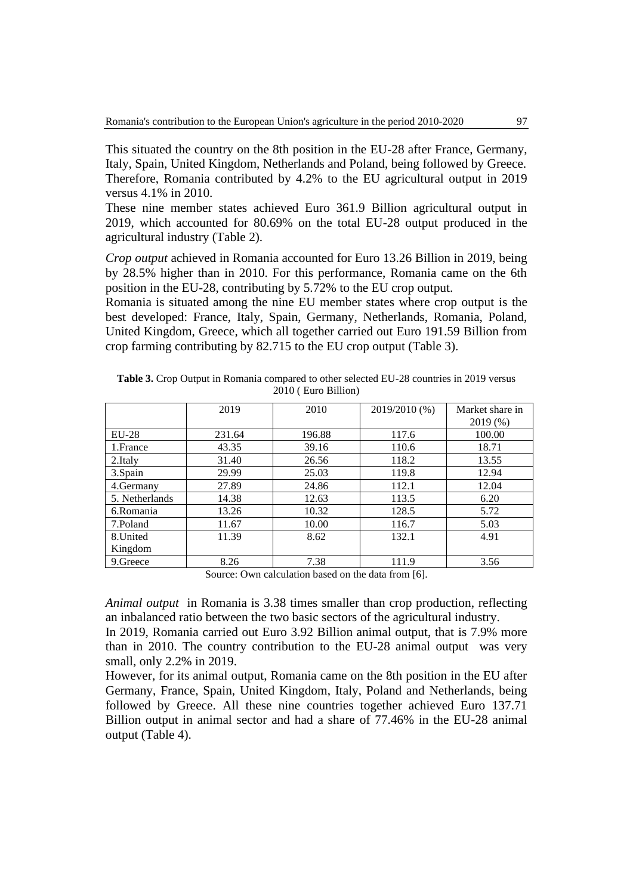This situated the country on the 8th position in the EU-28 after France, Germany, Italy, Spain, United Kingdom, Netherlands and Poland, being followed by Greece. Therefore, Romania contributed by 4.2% to the EU agricultural output in 2019 versus 4.1% in 2010.

These nine member states achieved Euro 361.9 Billion agricultural output in 2019, which accounted for 80.69% on the total EU-28 output produced in the agricultural industry (Table 2).

*Crop output* achieved in Romania accounted for Euro 13.26 Billion in 2019, being by 28.5% higher than in 2010. For this performance, Romania came on the 6th position in the EU-28, contributing by 5.72% to the EU crop output.

Romania is situated among the nine EU member states where crop output is the best developed: France, Italy, Spain, Germany, Netherlands, Romania, Poland, United Kingdom, Greece, which all together carried out Euro 191.59 Billion from crop farming contributing by 82.715 to the EU crop output (Table 3).

|                | 2019   | 2010   | 2019/2010 (%) | Market share in |
|----------------|--------|--------|---------------|-----------------|
|                |        |        |               | 2019(%)         |
| <b>EU-28</b>   | 231.64 | 196.88 | 117.6         | 100.00          |
| 1.France       | 43.35  | 39.16  | 110.6         | 18.71           |
| 2.Italy        | 31.40  | 26.56  | 118.2         | 13.55           |
| 3. Spain       | 29.99  | 25.03  | 119.8         | 12.94           |
| 4. Germany     | 27.89  | 24.86  | 112.1         | 12.04           |
| 5. Netherlands | 14.38  | 12.63  | 113.5         | 6.20            |
| 6.Romania      | 13.26  | 10.32  | 128.5         | 5.72            |
| 7.Poland       | 11.67  | 10.00  | 116.7         | 5.03            |
| 8.United       | 11.39  | 8.62   | 132.1         | 4.91            |
| Kingdom        |        |        |               |                 |
| 9. Greece      | 8.26   | 7.38   | 111.9         | 3.56            |

**Table 3.** Crop Output in Romania compared to other selected EU-28 countries in 2019 versus 2010 ( Euro Billion)

Source: Own calculation based on the data from [6].

*Animal output* in Romania is 3.38 times smaller than crop production, reflecting an inbalanced ratio between the two basic sectors of the agricultural industry.

In 2019, Romania carried out Euro 3.92 Billion animal output, that is 7.9% more than in 2010. The country contribution to the EU-28 animal output was very small, only 2.2% in 2019.

However, for its animal output, Romania came on the 8th position in the EU after Germany, France, Spain, United Kingdom, Italy, Poland and Netherlands, being followed by Greece. All these nine countries together achieved Euro 137.71 Billion output in animal sector and had a share of 77.46% in the EU-28 animal output (Table 4).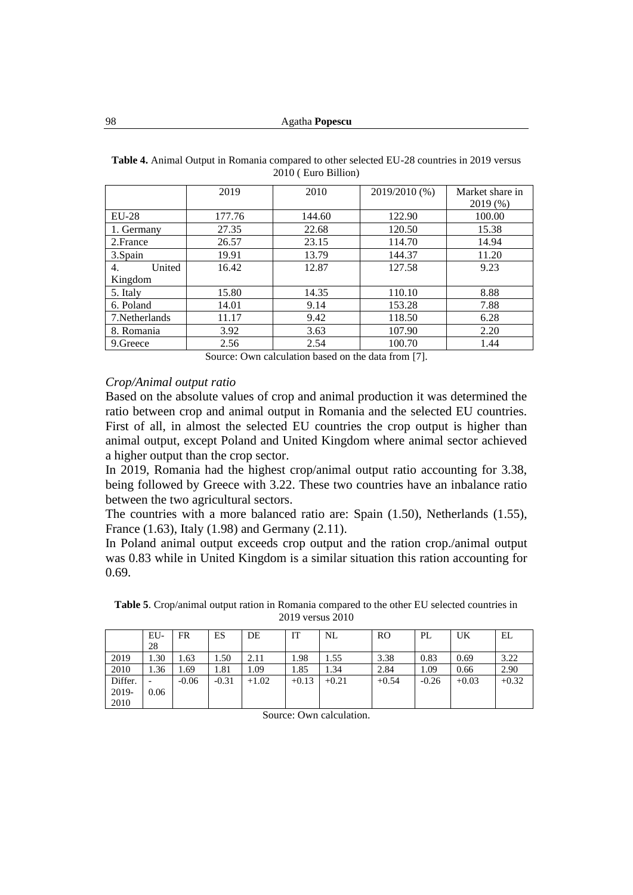|                | 2019   | 2010   | 2019/2010 (%) | Market share in<br>2019(%) |
|----------------|--------|--------|---------------|----------------------------|
| EU-28          | 177.76 | 144.60 | 122.90        | 100.00                     |
| 1. Germany     | 27.35  | 22.68  | 120.50        | 15.38                      |
| 2. France      | 26.57  | 23.15  | 114.70        | 14.94                      |
| 3.Spain        | 19.91  | 13.79  | 144.37        | 11.20                      |
| United<br>4.   | 16.42  | 12.87  | 127.58        | 9.23                       |
| Kingdom        |        |        |               |                            |
| 5. Italy       | 15.80  | 14.35  | 110.10        | 8.88                       |
| 6. Poland      | 14.01  | 9.14   | 153.28        | 7.88                       |
| 7. Netherlands | 11.17  | 9.42   | 118.50        | 6.28                       |
| 8. Romania     | 3.92   | 3.63   | 107.90        | 2.20                       |
| 9. Greece      | 2.56   | 2.54   | 100.70        | 1.44                       |

**Table 4.** Animal Output in Romania compared to other selected EU-28 countries in 2019 versus 2010 ( Euro Billion)

Source: Own calculation based on the data from [7].

#### *Crop/Animal output ratio*

Based on the absolute values of crop and animal production it was determined the ratio between crop and animal output in Romania and the selected EU countries. First of all, in almost the selected EU countries the crop output is higher than animal output, except Poland and United Kingdom where animal sector achieved a higher output than the crop sector.

In 2019, Romania had the highest crop/animal output ratio accounting for 3.38, being followed by Greece with 3.22. These two countries have an inbalance ratio between the two agricultural sectors.

The countries with a more balanced ratio are: Spain (1.50), Netherlands (1.55), France (1.63), Italy (1.98) and Germany (2.11).

In Poland animal output exceeds crop output and the ration crop./animal output was 0.83 while in United Kingdom is a similar situation this ration accounting for 0.69.

|         | EU-<br>28 | FR      | ES      | DE      | IT      | NL      | <sub>RO</sub> | PL      | UK      | EL      |
|---------|-----------|---------|---------|---------|---------|---------|---------------|---------|---------|---------|
| 2019    | .30       | l.63    | 1.50    | 2.11    | 1.98    | 1.55    | 3.38          | 0.83    | 0.69    | 3.22    |
| 2010    | . . 36    | . .69   | 1.81    | 1.09    | 1.85    | 1.34    | 2.84          | 1.09    | 0.66    | 2.90    |
| Differ. |           | $-0.06$ | $-0.31$ | $+1.02$ | $+0.13$ | $+0.21$ | $+0.54$       | $-0.26$ | $+0.03$ | $+0.32$ |
| 2019-   | 0.06      |         |         |         |         |         |               |         |         |         |
| 2010    |           |         |         |         |         |         |               |         |         |         |

**Table 5**. Crop/animal output ration in Romania compared to the other EU selected countries in 2019 versus 2010

Source: Own calculation.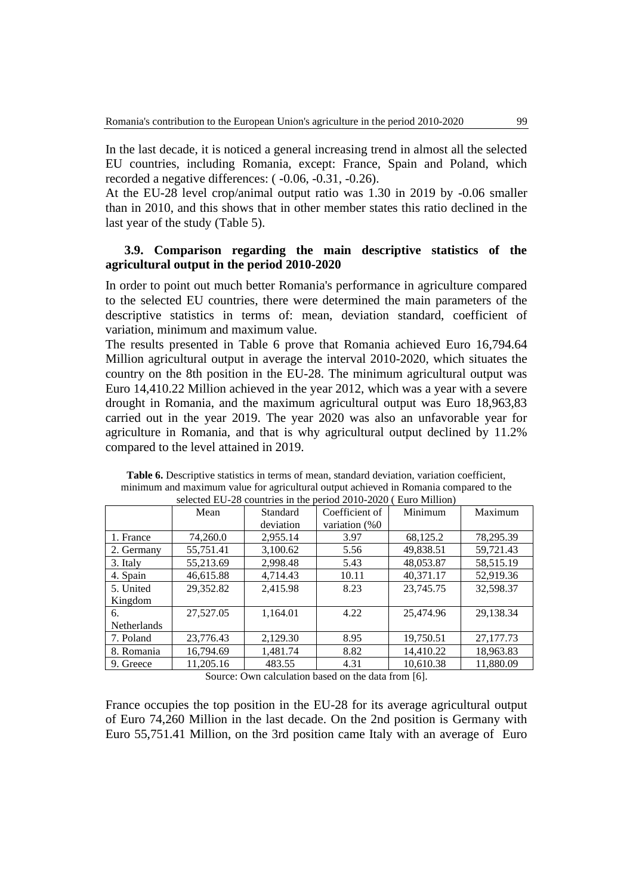In the last decade, it is noticed a general increasing trend in almost all the selected EU countries, including Romania, except: France, Spain and Poland, which recorded a negative differences: ( -0.06, -0.31, -0.26).

At the EU-28 level crop/animal output ratio was 1.30 in 2019 by -0.06 smaller than in 2010, and this shows that in other member states this ratio declined in the last year of the study (Table 5).

# **3.9. Comparison regarding the main descriptive statistics of the agricultural output in the period 2010-2020**

In order to point out much better Romania's performance in agriculture compared to the selected EU countries, there were determined the main parameters of the descriptive statistics in terms of: mean, deviation standard, coefficient of variation, minimum and maximum value.

The results presented in Table 6 prove that Romania achieved Euro 16,794.64 Million agricultural output in average the interval 2010-2020, which situates the country on the 8th position in the EU-28. The minimum agricultural output was Euro 14,410.22 Million achieved in the year 2012, which was a year with a severe drought in Romania, and the maximum agricultural output was Euro 18,963,83 carried out in the year 2019. The year 2020 was also an unfavorable year for agriculture in Romania, and that is why agricultural output declined by 11.2% compared to the level attained in 2019.

|                    | Mean      | Standard  | Coefficient of | Minimum   | Maximum     |
|--------------------|-----------|-----------|----------------|-----------|-------------|
|                    |           | deviation | variation (%0) |           |             |
| 1. France          | 74,260.0  | 2,955.14  | 3.97           | 68,125.2  | 78,295.39   |
| 2. Germany         | 55,751.41 | 3,100.62  | 5.56           | 49,838.51 | 59,721.43   |
| 3. Italy           | 55,213.69 | 2,998.48  | 5.43           | 48,053.87 | 58, 515. 19 |
| 4. Spain           | 46,615.88 | 4.714.43  | 10.11          | 40,371.17 | 52,919.36   |
| 5. United          | 29,352.82 | 2,415.98  | 8.23           | 23,745.75 | 32,598.37   |
| Kingdom            |           |           |                |           |             |
| б.                 | 27,527.05 | 1,164.01  | 4.22           | 25,474.96 | 29,138.34   |
| <b>Netherlands</b> |           |           |                |           |             |
| 7. Poland          | 23,776.43 | 2,129.30  | 8.95           | 19,750.51 | 27,177.73   |
| 8. Romania         | 16,794.69 | 1,481.74  | 8.82           | 14,410.22 | 18,963.83   |
| 9. Greece          | 11,205.16 | 483.55    | 4.31           | 10,610.38 | 11,880.09   |

**Table 6.** Descriptive statistics in terms of mean, standard deviation, variation coefficient, minimum and maximum value for agricultural output achieved in Romania compared to the selected EU-28 countries in the period 2010-2020 ( Euro Million)

Source: Own calculation based on the data from [6].

France occupies the top position in the EU-28 for its average agricultural output of Euro 74,260 Million in the last decade. On the 2nd position is Germany with Euro 55,751.41 Million, on the 3rd position came Italy with an average of Euro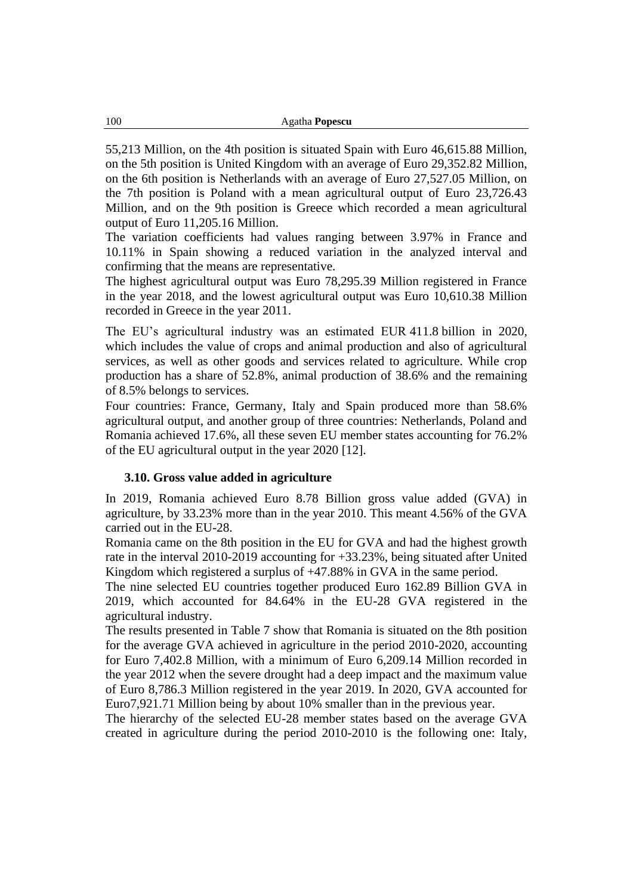55,213 Million, on the 4th position is situated Spain with Euro 46,615.88 Million, on the 5th position is United Kingdom with an average of Euro 29,352.82 Million, on the 6th position is Netherlands with an average of Euro 27,527.05 Million, on the 7th position is Poland with a mean agricultural output of Euro 23,726.43 Million, and on the 9th position is Greece which recorded a mean agricultural output of Euro 11,205.16 Million.

The variation coefficients had values ranging between 3.97% in France and 10.11% in Spain showing a reduced variation in the analyzed interval and confirming that the means are representative.

The highest agricultural output was Euro 78,295.39 Million registered in France in the year 2018, and the lowest agricultural output was Euro 10,610.38 Million recorded in Greece in the year 2011.

The EU's agricultural industry was an estimated EUR 411.8 billion in 2020, which includes the value of crops and animal production and also of agricultural services, as well as other goods and services related to agriculture. While crop production has a share of 52.8%, animal production of 38.6% and the remaining of 8.5% belongs to services.

Four countries: France, Germany, Italy and Spain produced more than 58.6% agricultural output, and another group of three countries: Netherlands, Poland and Romania achieved 17.6%, all these seven EU member states accounting for 76.2% of the EU agricultural output in the year 2020 [12].

#### **3.10. Gross value added in agriculture**

In 2019, Romania achieved Euro 8.78 Billion gross value added (GVA) in agriculture, by 33.23% more than in the year 2010. This meant 4.56% of the GVA carried out in the EU-28.

Romania came on the 8th position in the EU for GVA and had the highest growth rate in the interval 2010-2019 accounting for +33.23%, being situated after United Kingdom which registered a surplus of +47.88% in GVA in the same period.

The nine selected EU countries together produced Euro 162.89 Billion GVA in 2019, which accounted for 84.64% in the EU-28 GVA registered in the agricultural industry.

The results presented in Table 7 show that Romania is situated on the 8th position for the average GVA achieved in agriculture in the period 2010-2020, accounting for Euro 7,402.8 Million, with a minimum of Euro 6,209.14 Million recorded in the year 2012 when the severe drought had a deep impact and the maximum value of Euro 8,786.3 Million registered in the year 2019. In 2020, GVA accounted for Euro7,921.71 Million being by about 10% smaller than in the previous year.

The hierarchy of the selected EU-28 member states based on the average GVA created in agriculture during the period 2010-2010 is the following one: Italy,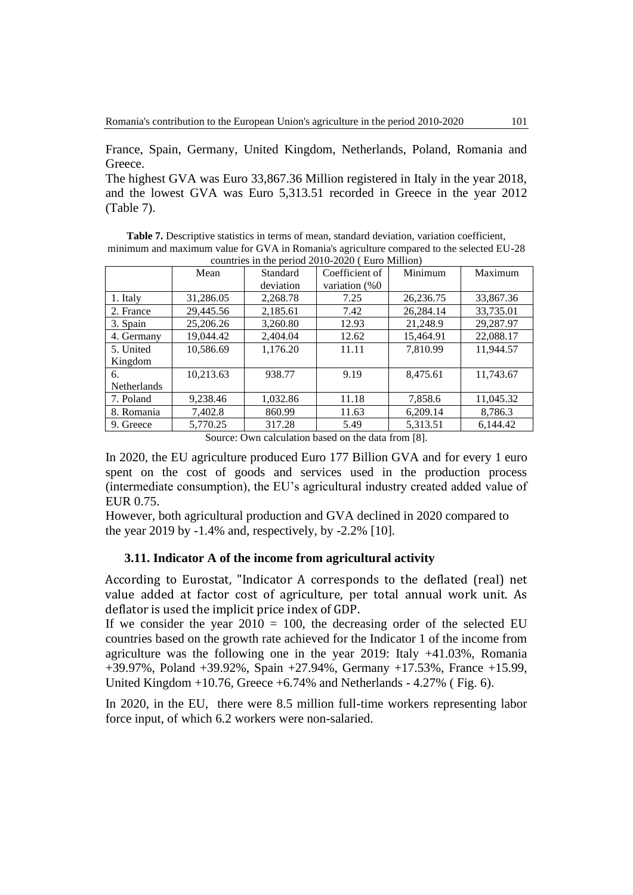France, Spain, Germany, United Kingdom, Netherlands, Poland, Romania and Greece.

The highest GVA was Euro 33,867.36 Million registered in Italy in the year 2018, and the lowest GVA was Euro 5,313.51 recorded in Greece in the year 2012 (Table 7).

**Table 7.** Descriptive statistics in terms of mean, standard deviation, variation coefficient, minimum and maximum value for GVA in Romania's agriculture compared to the selected EU-28 countries in the period 2010-2020 ( Euro Million)

|                    | Mean      | Standard  | Coefficient of | Minimum   | Maximum   |
|--------------------|-----------|-----------|----------------|-----------|-----------|
|                    |           | deviation | variation (%0) |           |           |
| 1. Italy           | 31,286.05 | 2,268.78  | 7.25           | 26,236.75 | 33,867.36 |
| 2. France          | 29,445.56 | 2,185.61  | 7.42           | 26,284.14 | 33,735.01 |
| 3. Spain           | 25,206.26 | 3,260.80  | 12.93          | 21,248.9  | 29,287.97 |
| 4. Germany         | 19,044.42 | 2,404.04  | 12.62          | 15,464.91 | 22,088.17 |
| 5. United          | 10.586.69 | 1,176.20  | 11.11          | 7,810.99  | 11,944.57 |
| Kingdom            |           |           |                |           |           |
| 6.                 | 10,213.63 | 938.77    | 9.19           | 8,475.61  | 11,743.67 |
| <b>Netherlands</b> |           |           |                |           |           |
| 7. Poland          | 9,238.46  | 1,032.86  | 11.18          | 7,858.6   | 11,045.32 |
| 8. Romania         | 7,402.8   | 860.99    | 11.63          | 6,209.14  | 8,786.3   |
| 9. Greece          | 5,770.25  | 317.28    | 5.49           | 5,313.51  | 6,144.42  |

Source: Own calculation based on the data from [8].

In 2020, the EU agriculture produced Euro 177 Billion GVA and for every 1 euro spent on the cost of goods and services used in the production process (intermediate consumption), the EU's agricultural industry created added value of EUR 0.75.

However, both agricultural production and GVA declined in 2020 compared to the year 2019 by -1.4% and, respectively, by -2.2% [10].

#### **3.11. Indicator A of the income from agricultural activity**

According to Eurostat, "Indicator A corresponds to the deflated (real) net value added at factor cost of agriculture, per total annual work unit. As deflator is used the implicit price index of GDP.

If we consider the year  $2010 = 100$ , the decreasing order of the selected EU countries based on the growth rate achieved for the Indicator 1 of the income from agriculture was the following one in the year 2019: Italy +41.03%, Romania +39.97%, Poland +39.92%, Spain +27.94%, Germany +17.53%, France +15.99, United Kingdom  $+10.76$ , Greece  $+6.74\%$  and Netherlands - 4.27% (Fig. 6).

In 2020, in the EU, there were 8.5 million full-time workers representing labor force input, of which 6.2 workers were non-salaried.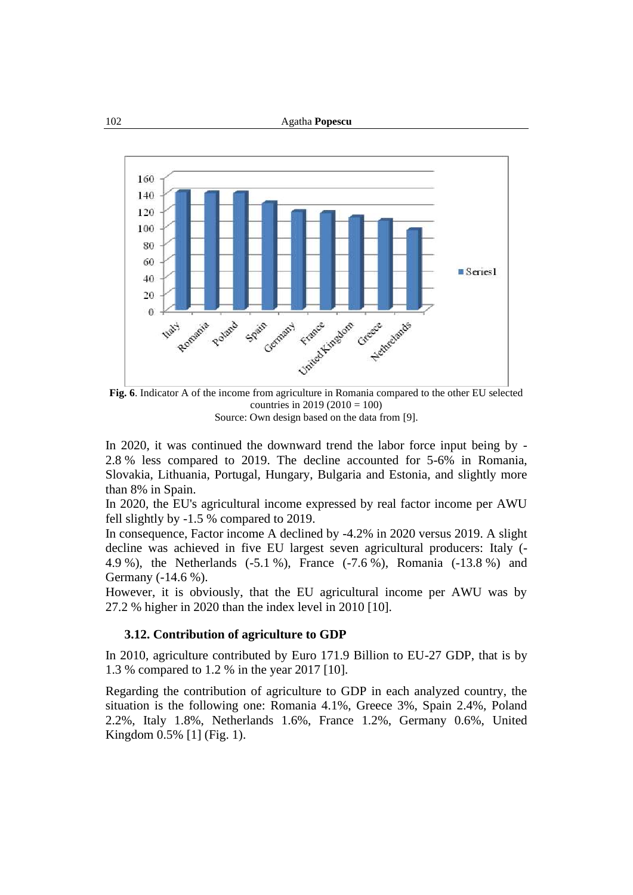

**Fig. 6**. Indicator A of the income from agriculture in Romania compared to the other EU selected countries in 2019 (2010 = 100) Source: Own design based on the data from [9].

In 2020, it was continued the downward trend the labor force input being by - 2.8 % less compared to 2019. The decline accounted for 5-6% in Romania, Slovakia, Lithuania, Portugal, Hungary, Bulgaria and Estonia, and slightly more than 8% in Spain.

In 2020, the EU's agricultural income expressed by real factor income per AWU fell slightly by -1.5 % compared to 2019.

In consequence, Factor income A declined by -4.2% in 2020 versus 2019. A slight decline was achieved in five EU largest seven agricultural producers: Italy (- 4.9 %), the Netherlands (-5.1 %), France (-7.6 %), Romania (-13.8 %) and Germany (-14.6 %).

However, it is obviously, that the EU agricultural income per AWU was by 27.2 % higher in 2020 than the index level in 2010 [10].

# **3.12. Contribution of agriculture to GDP**

In 2010, agriculture contributed by Euro 171.9 Billion to EU-27 GDP, that is by 1.3 % compared to 1.2 % in the year 2017 [10].

Regarding the contribution of agriculture to GDP in each analyzed country, the situation is the following one: Romania 4.1%, Greece 3%, Spain 2.4%, Poland 2.2%, Italy 1.8%, Netherlands 1.6%, France 1.2%, Germany 0.6%, United Kingdom 0.5% [1] (Fig. 1).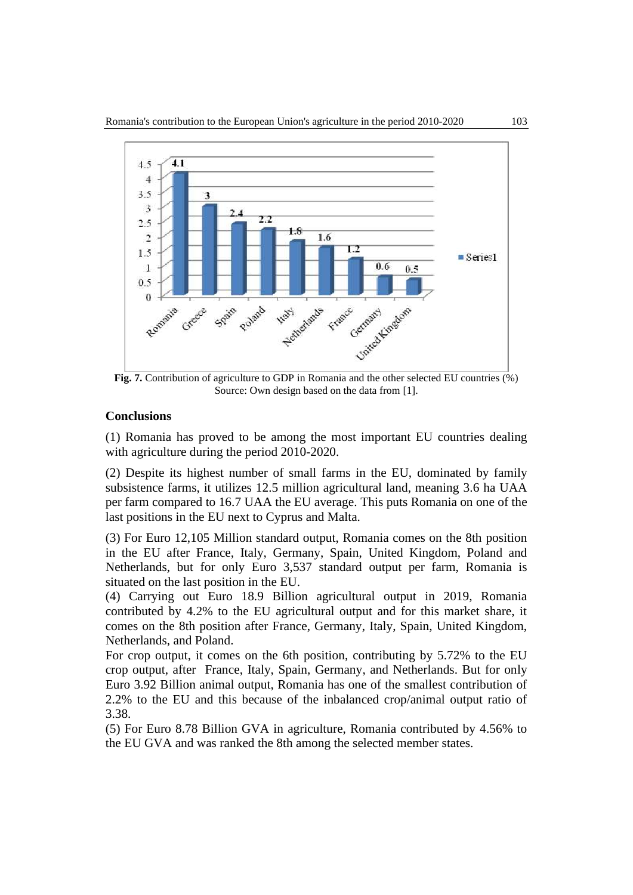

**Fig. 7.** Contribution of agriculture to GDP in Romania and the other selected EU countries (%) Source: Own design based on the data from [1].

# **Conclusions**

(1) Romania has proved to be among the most important EU countries dealing with agriculture during the period 2010-2020.

(2) Despite its highest number of small farms in the EU, dominated by family subsistence farms, it utilizes 12.5 million agricultural land, meaning 3.6 ha UAA per farm compared to 16.7 UAA the EU average. This puts Romania on one of the last positions in the EU next to Cyprus and Malta.

(3) For Euro 12,105 Million standard output, Romania comes on the 8th position in the EU after France, Italy, Germany, Spain, United Kingdom, Poland and Netherlands, but for only Euro 3,537 standard output per farm, Romania is situated on the last position in the EU.

(4) Carrying out Euro 18.9 Billion agricultural output in 2019, Romania contributed by 4.2% to the EU agricultural output and for this market share, it comes on the 8th position after France, Germany, Italy, Spain, United Kingdom, Netherlands, and Poland.

For crop output, it comes on the 6th position, contributing by 5.72% to the EU crop output, after France, Italy, Spain, Germany, and Netherlands. But for only Euro 3.92 Billion animal output, Romania has one of the smallest contribution of 2.2% to the EU and this because of the inbalanced crop/animal output ratio of 3.38.

(5) For Euro 8.78 Billion GVA in agriculture, Romania contributed by 4.56% to the EU GVA and was ranked the 8th among the selected member states.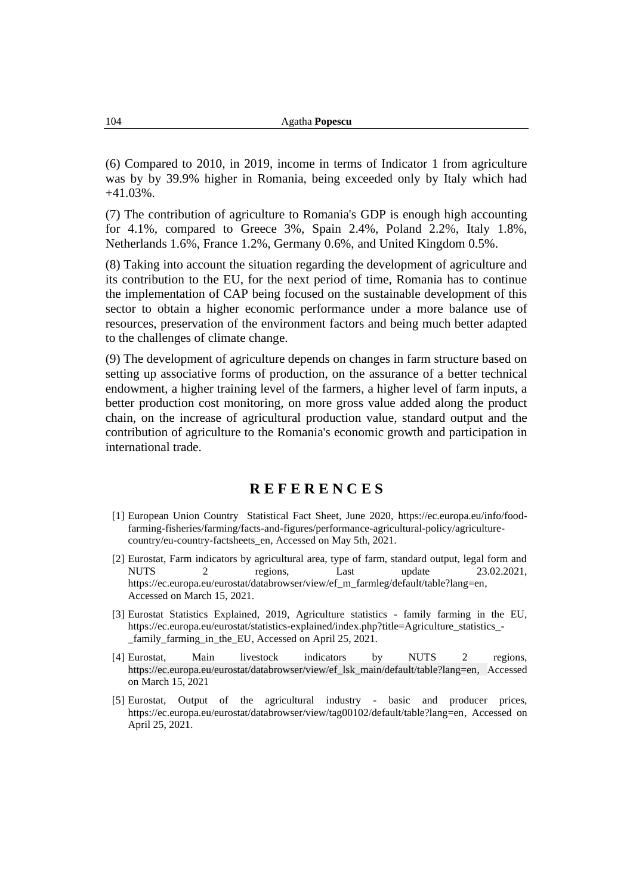(6) Compared to 2010, in 2019, income in terms of Indicator 1 from agriculture was by by 39.9% higher in Romania, being exceeded only by Italy which had +41.03%.

(7) The contribution of agriculture to Romania's GDP is enough high accounting for 4.1%, compared to Greece 3%, Spain 2.4%, Poland 2.2%, Italy 1.8%, Netherlands 1.6%, France 1.2%, Germany 0.6%, and United Kingdom 0.5%.

(8) Taking into account the situation regarding the development of agriculture and its contribution to the EU, for the next period of time, Romania has to continue the implementation of CAP being focused on the sustainable development of this sector to obtain a higher economic performance under a more balance use of resources, preservation of the environment factors and being much better adapted to the challenges of climate change.

(9) The development of agriculture depends on changes in farm structure based on setting up associative forms of production, on the assurance of a better technical endowment, a higher training level of the farmers, a higher level of farm inputs, a better production cost monitoring, on more gross value added along the product chain, on the increase of agricultural production value, standard output and the contribution of agriculture to the Romania's economic growth and participation in international trade.

# **R E F E R E N C E S**

- [1] European Union Country Statistical Fact Sheet, June 2020, [https://ec.europa.eu/info/food](https://ec.europa.eu/info/food-farming-fisheries/farming/facts-and-figures/performance-agricultural-policy/agriculture-country/eu-country-factsheets_en)[farming-fisheries/farming/facts-and-figures/performance-agricultural-policy/agriculture](https://ec.europa.eu/info/food-farming-fisheries/farming/facts-and-figures/performance-agricultural-policy/agriculture-country/eu-country-factsheets_en)[country/eu-country-factsheets\\_en,](https://ec.europa.eu/info/food-farming-fisheries/farming/facts-and-figures/performance-agricultural-policy/agriculture-country/eu-country-factsheets_en) Accessed on May 5th, 2021.
- [2] Eurostat, Farm indicators by agricultural area, type of farm, standard output, legal form and NUTS 2 regions, Last update 23.02.2021, [https://ec.europa.eu/eurostat/databrowser/view/ef\\_m\\_farmleg/default/table?lang=en,](https://ec.europa.eu/eurostat/databrowser/view/ef_m_farmleg/default/table?lang=en) Accessed on March 15, 2021.
- [3] Eurostat Statistics Explained, 2019, Agriculture statistics family farming in the EU, [https://ec.europa.eu/eurostat/statistics-explained/index.php?title=Agriculture\\_statistics\\_-](https://ec.europa.eu/eurostat/statistics-explained/index.php?title=Agriculture_statistics_-_family_farming_in_the_EU) [\\_family\\_farming\\_in\\_the\\_EU,](https://ec.europa.eu/eurostat/statistics-explained/index.php?title=Agriculture_statistics_-_family_farming_in_the_EU) Accessed on April 25, 2021.
- [4] Eurostat, Main livestock indicators by NUTS 2 regions, [https://ec.europa.eu/eurostat/databrowser/view/ef\\_lsk\\_main/default/table?lang=en,](https://ec.europa.eu/eurostat/databrowser/view/ef_lsk_main/default/table?lang=en) Accessed on March 15, 2021
- [5] Eurostat, Output of the agricultural industry basic and producer prices, [https://ec.europa.eu/eurostat/databrowser/view/tag00102/default/table?lang=en,](https://ec.europa.eu/eurostat/databrowser/view/tag00102/default/table?lang=en) Accessed on April 25, 2021.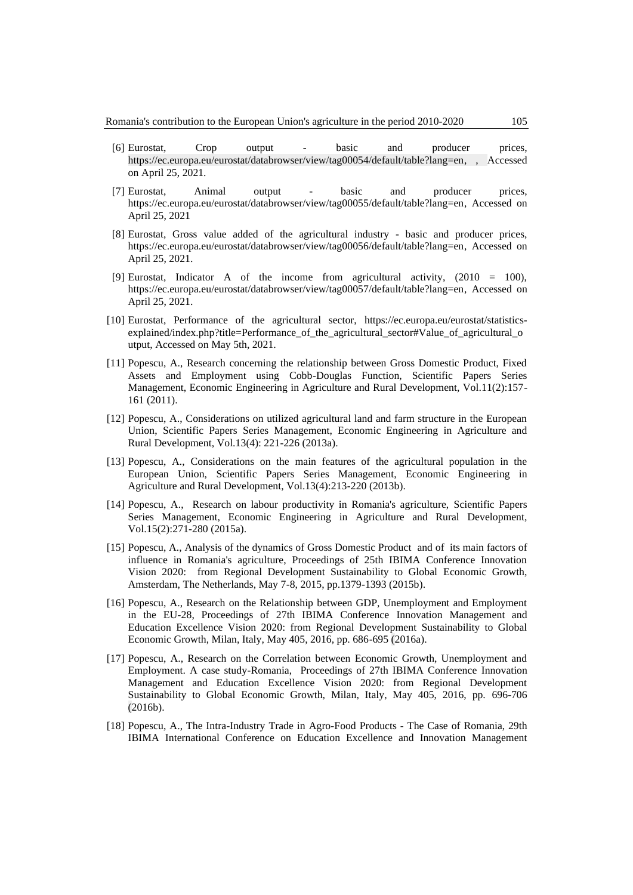- [6] Eurostat, Crop output basic and producer prices, [https://ec.europa.eu/eurostat/databrowser/view/tag00054/default/table?lang=en,](https://ec.europa.eu/eurostat/databrowser/view/tag00054/default/table?lang=en) , Accessed on April 25, 2021.
- [7] Eurostat, Animal output basic and producer prices, [https://ec.europa.eu/eurostat/databrowser/view/tag00055/default/table?lang=en,](https://ec.europa.eu/eurostat/databrowser/view/tag00055/default/table?lang=en) Accessed on April 25, 2021
- [8] Eurostat, Gross value added of the agricultural industry basic and producer prices, [https://ec.europa.eu/eurostat/databrowser/view/tag00056/default/table?lang=en,](https://ec.europa.eu/eurostat/databrowser/view/tag00056/default/table?lang=en) Accessed on April 25, 2021.
- [9] Eurostat, Indicator A of the income from agricultural activity, (2010 = 100), [https://ec.europa.eu/eurostat/databrowser/view/tag00057/default/table?lang=en,](https://ec.europa.eu/eurostat/databrowser/view/tag00057/default/table?lang=en) Accessed on April 25, 2021.
- [10] Eurostat, Performance of the agricultural sector, [https://ec.europa.eu/eurostat/statistics](https://ec.europa.eu/eurostat/statistics-explained/index.php?title=Performance_of_the_agricultural_sector#Value_of_agricultural_output)[explained/index.php?title=Performance\\_of\\_the\\_agricultural\\_sector#Value\\_of\\_agricultural\\_o](https://ec.europa.eu/eurostat/statistics-explained/index.php?title=Performance_of_the_agricultural_sector#Value_of_agricultural_output) [utput,](https://ec.europa.eu/eurostat/statistics-explained/index.php?title=Performance_of_the_agricultural_sector#Value_of_agricultural_output) Accessed on May 5th, 2021.
- [11] Popescu, A., Research concerning the relationship between Gross Domestic Product, Fixed Assets and Employment using Cobb-Douglas Function, Scientific Papers Series Management, Economic Engineering in Agriculture and Rural Development, Vol.11(2):157- 161 (2011).
- [12] Popescu, A., Considerations on utilized agricultural land and farm structure in the European Union, Scientific Papers Series Management, Economic Engineering in Agriculture and Rural Development, Vol.13(4): 221-226 (2013a).
- [13] Popescu, A., Considerations on the main features of the agricultural population in the European Union, Scientific Papers Series Management, Economic Engineering in Agriculture and Rural Development, Vol.13(4):213-220 (2013b).
- [14] Popescu, A., Research on labour productivity in Romania's agriculture, Scientific Papers Series Management, Economic Engineering in Agriculture and Rural Development, Vol.15(2):271-280 (2015a).
- [15] Popescu, A., Analysis of the dynamics of Gross Domestic Product and of its main factors of influence in Romania's agriculture, Proceedings of 25th IBIMA Conference Innovation Vision 2020: from Regional Development Sustainability to Global Economic Growth, Amsterdam, The Netherlands, May 7-8, 2015, pp.1379-1393 (2015b).
- [16] Popescu, A., Research on the Relationship between GDP, Unemployment and Employment in the EU-28, Proceedings of 27th IBIMA Conference Innovation Management and Education Excellence Vision 2020: from Regional Development Sustainability to Global Economic Growth, Milan, Italy, May 405, 2016, pp. 686-695 (2016a).
- [17] Popescu, A., Research on the Correlation between Economic Growth, Unemployment and Employment. A case study-Romania, Proceedings of 27th IBIMA Conference Innovation Management and Education Excellence Vision 2020: from Regional Development Sustainability to Global Economic Growth, Milan, Italy, May 405, 2016, pp. 696-706 (2016b).
- [18] Popescu, A., The Intra-Industry Trade in Agro-Food Products The Case of Romania, 29th IBIMA International Conference on Education Excellence and Innovation Management